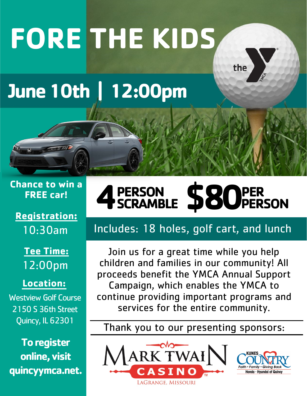# **FORE THE KIDS**

# **June 10th | 12:00pm**

#### **Chance to win a FREE car!**

## **Registration:** 10:30am

**Tee Time:** 12:00pm

#### **Location:**

Westview Golf Course 2150 S 36th Street Quincy, IL 62301

**To register online, visit quincyymca.net.**

#### **4 PERSON** PERSON \$80 **PER PERSON**

the

# Includes: 18 holes, golf cart, and lunch

Join us for a great time while you help children and families in our community! All proceeds benefit the YMCA Annual Support Campaign, which enables the YMCA to continue providing important programs and services for the entire community.

### Thank you to our presenting sponsors: